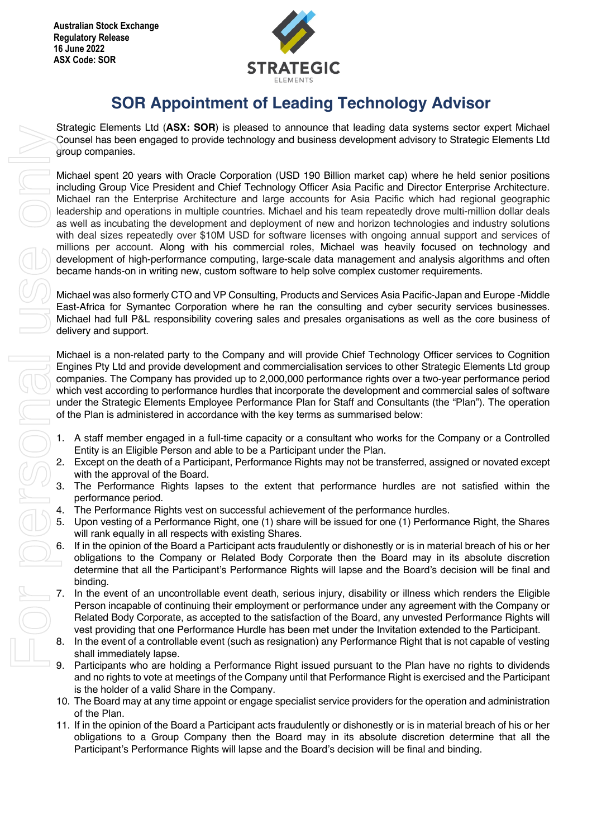

## **SOR Appointment of Leading Technology Advisor**

Strategic Elements Ltd (**ASX: SOR**) is pleased to announce that leading data systems sector expert Michael Counsel has been engaged to provide technology and business development advisory to Strategic Elements Ltd group companies.

Michael spent 20 years with Oracle Corporation (USD 190 Billion market cap) where he held senior positions including Group Vice President and Chief Technology Officer Asia Pacific and Director Enterprise Architecture. Michael ran the Enterprise Architecture and large accounts for Asia Pacific which had regional geographic leadership and operations in multiple countries. Michael and his team repeatedly drove multi-million dollar deals as well as incubating the development and deployment of new and horizon technologies and industry solutions with deal sizes repeatedly over \$10M USD for software licenses with ongoing annual support and services of millions per account. Along with his commercial roles, Michael was heavily focused on technology and development of high-performance computing, large-scale data management and analysis algorithms and often became hands-on in writing new, custom software to help solve complex customer requirements.

Michael was also formerly CTO and VP Consulting, Products and Services Asia Pacific-Japan and Europe -Middle East-Africa for Symantec Corporation where he ran the consulting and cyber security services businesses. Michael had full P&L responsibility covering sales and presales organisations as well as the core business of delivery and support.

Michael is a non-related party to the Company and will provide Chief Technology Officer services to Cognition Engines Pty Ltd and provide development and commercialisation services to other Strategic Elements Ltd group companies. The Company has provided up to 2,000,000 performance rights over a two-year performance period which vest according to performance hurdles that incorporate the development and commercial sales of software under the Strategic Elements Employee Performance Plan for Staff and Consultants (the "Plan"). The operation of the Plan is administered in accordance with the key terms as summarised below:

- 1. A staff member engaged in a full-time capacity or a consultant who works for the Company or a Controlled Entity is an Eligible Person and able to be a Participant under the Plan.
- 2. Except on the death of a Participant, Performance Rights may not be transferred, assigned or novated except with the approval of the Board.
- 3. The Performance Rights lapses to the extent that performance hurdles are not satisfied within the performance period.
- 4. The Performance Rights vest on successful achievement of the performance hurdles.
- 5. Upon vesting of a Performance Right, one (1) share will be issued for one (1) Performance Right, the Shares will rank equally in all respects with existing Shares.
- If in the opinion of the Board a Participant acts fraudulently or dishonestly or is in material breach of his or her obligations to the Company or Related Body Corporate then the Board may in its absolute discretion determine that all the Participant's Performance Rights will lapse and the Board's decision will be final and binding.
- In the event of an uncontrollable event death, serious injury, disability or illness which renders the Eligible Person incapable of continuing their employment or performance under any agreement with the Company or Related Body Corporate, as accepted to the satisfaction of the Board, any unvested Performance Rights will vest providing that one Performance Hurdle has been met under the Invitation extended to the Participant.
- 8. In the event of a controllable event (such as resignation) any Performance Right that is not capable of vesting shall immediately lapse.
- 9. Participants who are holding a Performance Right issued pursuant to the Plan have no rights to dividends and no rights to vote at meetings of the Company until that Performance Right is exercised and the Participant is the holder of a valid Share in the Company.
- 10. The Board may at any time appoint or engage specialist service providers for the operation and administration of the Plan.
- 11. If in the opinion of the Board a Participant acts fraudulently or dishonestly or is in material breach of his or her obligations to a Group Company then the Board may in its absolute discretion determine that all the Participant's Performance Rights will lapse and the Board's decision will be final and binding.